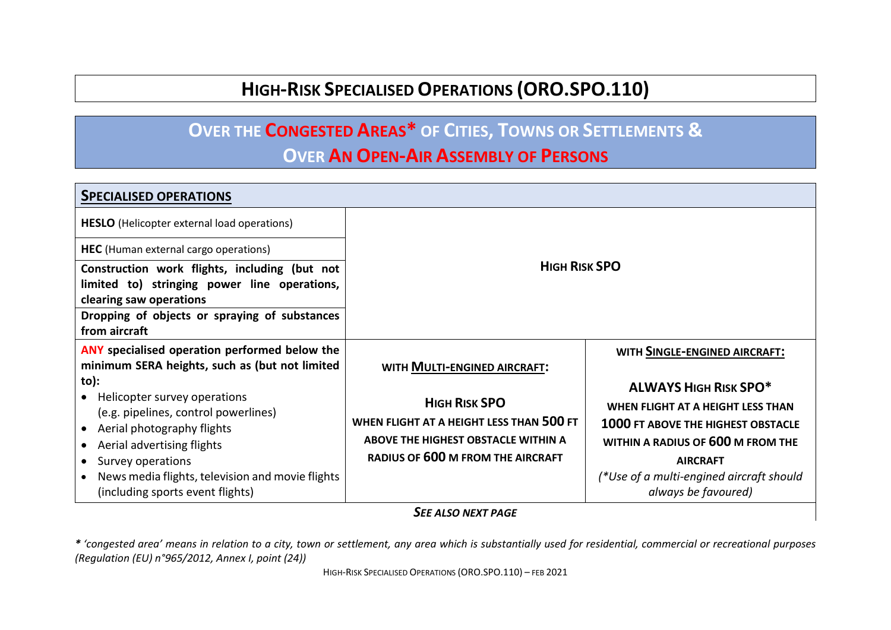## **HIGH-RISK SPECIALISED OPERATIONS (ORO.SPO.110)**

## **OVER THE CONGESTED AREAS\* OF CITIES, TOWNS OR SETTLEMENTS &**

### **OVER AN OPEN-AIR ASSEMBLY OF PERSONS**

| <b>SPECIALISED OPERATIONS</b>                                                                                                                                                                                                                                                       |                                                                                                                                                     |                                                                                                                                                                                                                                           |  |  |
|-------------------------------------------------------------------------------------------------------------------------------------------------------------------------------------------------------------------------------------------------------------------------------------|-----------------------------------------------------------------------------------------------------------------------------------------------------|-------------------------------------------------------------------------------------------------------------------------------------------------------------------------------------------------------------------------------------------|--|--|
| <b>HESLO</b> (Helicopter external load operations)                                                                                                                                                                                                                                  |                                                                                                                                                     |                                                                                                                                                                                                                                           |  |  |
| HEC (Human external cargo operations)                                                                                                                                                                                                                                               | <b>HIGH RISK SPO</b>                                                                                                                                |                                                                                                                                                                                                                                           |  |  |
| Construction work flights, including (but not<br>limited to) stringing power line operations,                                                                                                                                                                                       |                                                                                                                                                     |                                                                                                                                                                                                                                           |  |  |
| clearing saw operations                                                                                                                                                                                                                                                             |                                                                                                                                                     |                                                                                                                                                                                                                                           |  |  |
| Dropping of objects or spraying of substances<br>from aircraft                                                                                                                                                                                                                      |                                                                                                                                                     |                                                                                                                                                                                                                                           |  |  |
| <b>ANY</b> specialised operation performed below the<br>minimum SERA heights, such as (but not limited                                                                                                                                                                              | WITH MULTI-ENGINED AIRCRAFT:                                                                                                                        | WITH SINGLE-ENGINED AIRCRAFT:                                                                                                                                                                                                             |  |  |
| to):<br>• Helicopter survey operations<br>(e.g. pipelines, control powerlines)<br>Aerial photography flights<br>$\bullet$<br>Aerial advertising flights<br>$\bullet$<br>• Survey operations<br>News media flights, television and movie flights<br>(including sports event flights) | <b>HIGH RISK SPO</b><br>WHEN FLIGHT AT A HEIGHT LESS THAN 500 FT<br>ABOVE THE HIGHEST OBSTACLE WITHIN A<br><b>RADIUS OF 600 M FROM THE AIRCRAFT</b> | <b>ALWAYS HIGH RISK SPO*</b><br>WHEN FLIGHT AT A HEIGHT LESS THAN<br><b>1000 FT ABOVE THE HIGHEST OBSTACLE</b><br>WITHIN A RADIUS OF 600 M FROM THE<br><b>AIRCRAFT</b><br>(*Use of a multi-engined aircraft should<br>always be favoured) |  |  |

#### *SEE ALSO NEXT PAGE*

*\* 'congested area' means in relation to a city, town or settlement, any area which is substantially used for residential, commercial or recreational purposes (Regulation (EU) n°965/2012, Annex I, point (24))*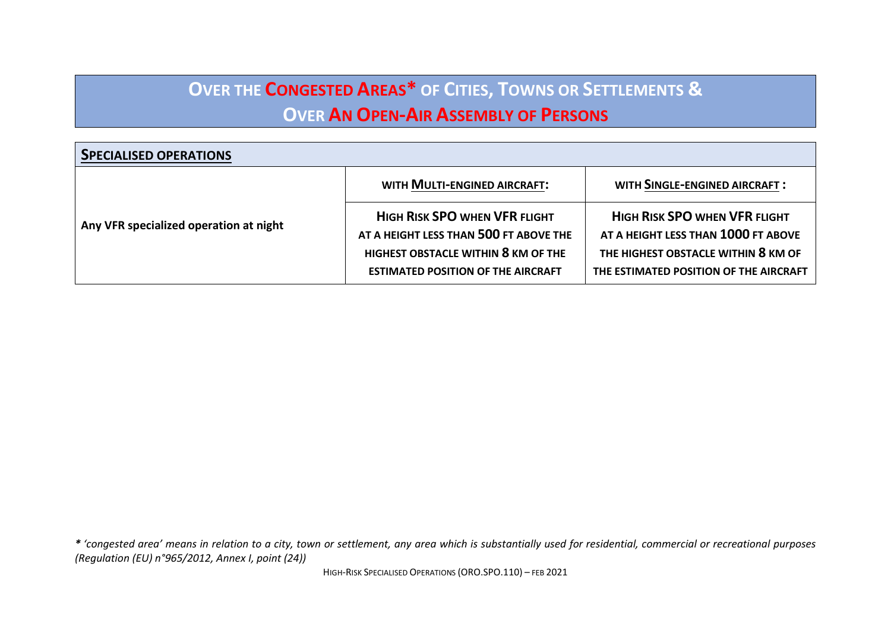# **OVER THE CONGESTED AREAS\* OF CITIES, TOWNS OR SETTLEMENTS & OVER AN OPEN-AIR ASSEMBLY OF PERSONS**

| <b>SPECIALISED OPERATIONS</b>          |                                                                                                                                                                    |                                                                                                                                                              |
|----------------------------------------|--------------------------------------------------------------------------------------------------------------------------------------------------------------------|--------------------------------------------------------------------------------------------------------------------------------------------------------------|
| Any VFR specialized operation at night | WITH MULTI-ENGINED AIRCRAFT:                                                                                                                                       | <b>WITH SINGLE-ENGINED AIRCRAFT:</b>                                                                                                                         |
|                                        | <b>HIGH RISK SPO WHEN VFR FLIGHT</b><br>AT A HEIGHT LESS THAN 500 FT ABOVE THE<br>HIGHEST OBSTACLE WITHIN 8 KM OF THE<br><b>ESTIMATED POSITION OF THE AIRCRAFT</b> | <b>HIGH RISK SPO WHEN VFR FLIGHT</b><br>AT A HEIGHT LESS THAN 1000 FT ABOVE<br>THE HIGHEST OBSTACLE WITHIN 8 KM OF<br>THE ESTIMATED POSITION OF THE AIRCRAFT |

*\* 'congested area' means in relation to a city, town or settlement, any area which is substantially used for residential, commercial or recreational purposes (Regulation (EU) n°965/2012, Annex I, point (24))*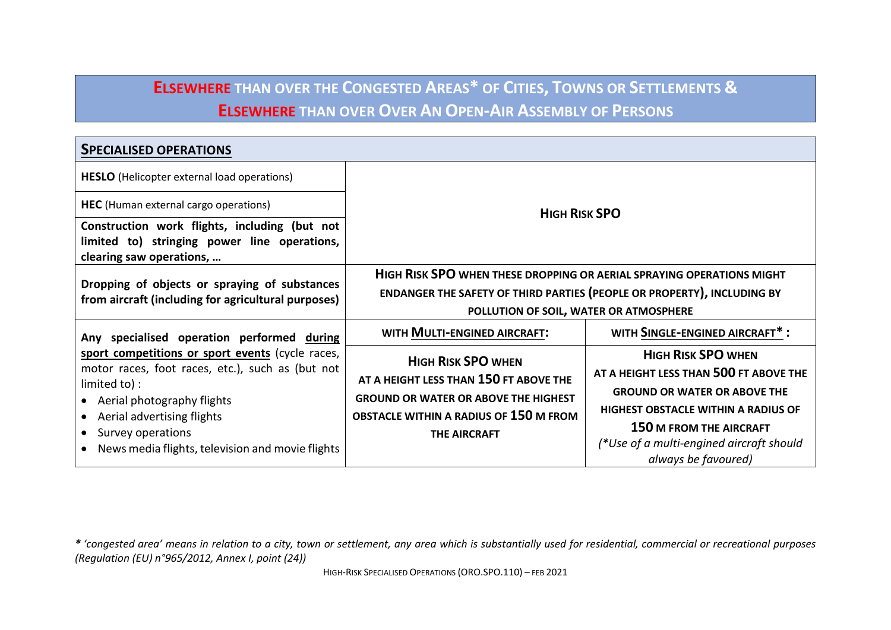## **ELSEWHERE THAN OVER THE CONGESTED AREAS\* OF CITIES, TOWNS OR SETTLEMENTS & ELSEWHERE THAN OVER OVER AN OPEN-AIR ASSEMBLY OF PERSONS**

| <b>SPECIALISED OPERATIONS</b>                                                                        |                                                                              |                                                                 |  |  |
|------------------------------------------------------------------------------------------------------|------------------------------------------------------------------------------|-----------------------------------------------------------------|--|--|
| <b>HESLO</b> (Helicopter external load operations)                                                   |                                                                              |                                                                 |  |  |
| <b>HEC</b> (Human external cargo operations)                                                         | <b>HIGH RISK SPO</b>                                                         |                                                                 |  |  |
| Construction work flights, including (but not                                                        |                                                                              |                                                                 |  |  |
| limited to) stringing power line operations,<br>clearing saw operations,                             |                                                                              |                                                                 |  |  |
| Dropping of objects or spraying of substances<br>from aircraft (including for agricultural purposes) | <b>HIGH RISK SPO WHEN THESE DROPPING OR AERIAL SPRAYING OPERATIONS MIGHT</b> |                                                                 |  |  |
|                                                                                                      | ENDANGER THE SAFETY OF THIRD PARTIES (PEOPLE OR PROPERTY), INCLUDING BY      |                                                                 |  |  |
|                                                                                                      | POLLUTION OF SOIL, WATER OR ATMOSPHERE                                       |                                                                 |  |  |
| Any specialised operation performed during                                                           | WITH MULTI-ENGINED AIRCRAFT:                                                 | WITH SINGLE-ENGINED AIRCRAFT*:                                  |  |  |
| sport competitions or sport events (cycle races,                                                     | <b>HIGH RISK SPO WHEN</b>                                                    | <b>HIGH RISK SPO WHEN</b>                                       |  |  |
| motor races, foot races, etc.), such as (but not                                                     | AT A HEIGHT LESS THAN 150 FT ABOVE THE                                       | AT A HEIGHT LESS THAN 500 FT ABOVE THE                          |  |  |
| limited to) :<br>• Aerial photography flights                                                        | <b>GROUND OR WATER OR ABOVE THE HIGHEST</b>                                  | <b>GROUND OR WATER OR ABOVE THE</b>                             |  |  |
| • Aerial advertising flights                                                                         | <b>OBSTACLE WITHIN A RADIUS OF 150 M FROM</b>                                | <b>HIGHEST OBSTACLE WITHIN A RADIUS OF</b>                      |  |  |
| • Survey operations                                                                                  | <b>THE AIRCRAFT</b>                                                          | <b>150 M FROM THE AIRCRAFT</b>                                  |  |  |
| • News media flights, television and movie flights                                                   |                                                                              | (*Use of a multi-engined aircraft should<br>always be favoured) |  |  |

*\* 'congested area' means in relation to a city, town or settlement, any area which is substantially used for residential, commercial or recreational purposes (Regulation (EU) n°965/2012, Annex I, point (24))*